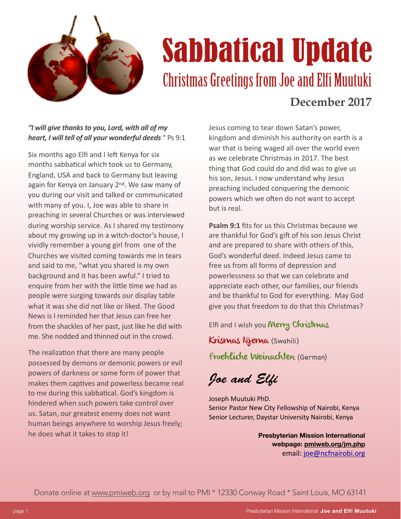

## **Sabbatical Update**<br>Christmas Greetings from Joe and Elfi Muutuki **December 2017**

## *"I will give thanks to you, Lord, with all of my*  **heart, I will tell of all your wonderful deeds** " Ps 9:1

Six months ago Elfi and I left Kenya for six months sabbatical which took us to Germany, England, USA and back to Germany but leaving again for Kenya on January 2<sup>nd</sup>. We saw many of you during our visit and talked or communicated with many of you. I, Joe was able to share in preaching in several Churches or was interviewed during worship service. As I shared my testimony about my growing up in a witch-doctor's house, I vividly remember a young girl from one of the Churches we visited coming towards me in tears and said to me, "what you shared is my own background and it has been awful." I tried to enquire from her with the little time we had as people were surging towards our display table what it was she did not like or liked. The Good News is I reminded her that Jesus can free her from the shackles of her past, just like he did with me. She nodded and thinned out in the crowd.

The realization that there are many people possessed by demons or demonic powers or evil powers of darkness or some form of power that makes them captives and powerless became real to me during this sabbatical. God's kingdom is hindered when such powers take control over us. Satan, our greatest enemy does not want human beings anywhere to worship Jesus freely; he does what it takes to stop it!

Jesus coming to tear down Satan's power, kingdom and diminish his authority on earth is a war that is being waged all over the world even as we celebrate Christmas in 2017. The best thing that God could do and did was to give us his son, Jesus. I now understand why Jesus preaching included conquering the demonic powers which we often do not want to accept but is real.

**Psalm 9:1** fits for us this Christmas because we are thankful for God's gift of his son Jesus Christ and are prepared to share with others of this, God's wonderful deed. Indeed Jesus came to free us from all forms of depression and powerlessness so that we can celebrate and appreciate each other, our families, our friends and be thankful to God for everything. May God give you that freedom to do that this Christmas?

Elfi and I wish you Merry Christmas

Krismas Njema (Swahili)

Froehliche Weinachten (German)

*Joe and El*f

Joseph Muutuki PhD. Senior Pastor New City Fellowship of Nairobi, Kenya Senior Lecturer, Daystar University Nairobi, Kenya

> **Presbyterian Mission International webpage: [pmiweb.org/jm.php](http://pmiweb.org/jm.php)** email: [joe@ncfnairobi.org](mailto:joe@ncfnairobi.org)

Donate online at [www.pmiweb.org](http://www.pmiweb.org) or by mail to PMI \* 12330 Conway Road \* Saint Louis, MO 63141